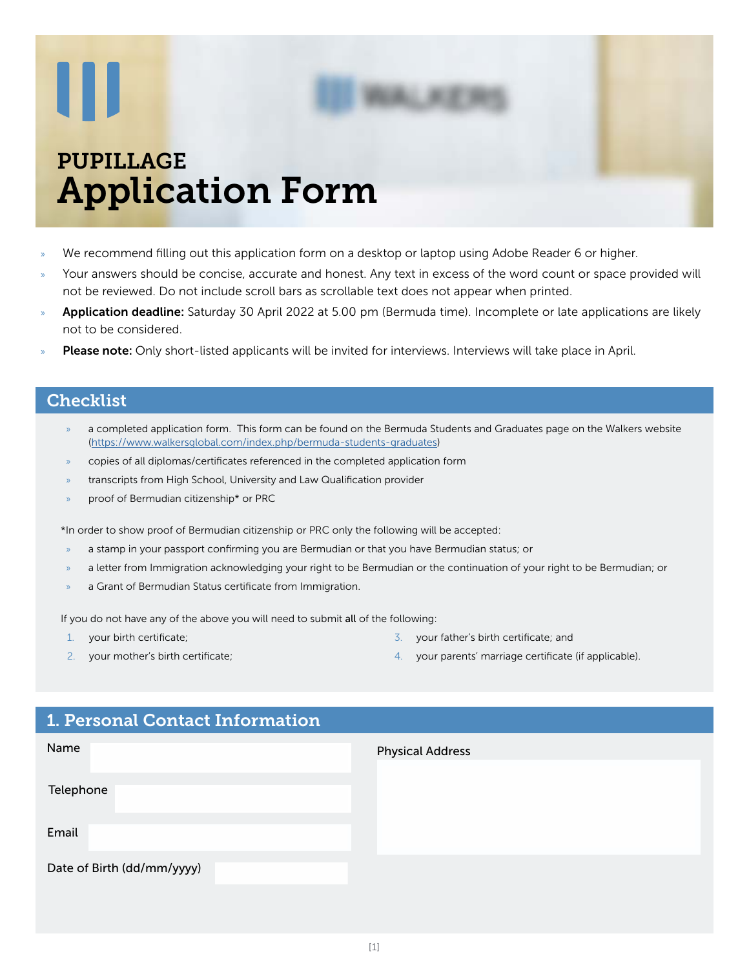# W

## PUPILLAGE Application Form

- We recommend filling out this application form on a desktop or laptop using Adobe Reader 6 or higher.
- » Your answers should be concise, accurate and honest. Any text in excess of the word count or space provided will not be reviewed. Do not include scroll bars as scrollable text does not appear when printed.
- Application deadline: Saturday 30 April 2022 at 5.00 pm (Bermuda time). Incomplete or late applications are likely not to be considered.
- Please note: Only short-listed applicants will be invited for interviews. Interviews will take place in April.

#### **Checklist**

- » a completed application form. This form can be found on the Bermuda Students and Graduates page on the Walkers website (<https://www.walkersglobal.com/index.php/bermuda-students-graduates>)
- » copies of all diplomas/certificates referenced in the completed application form
- transcripts from High School, University and Law Qualification provider
- » proof of Bermudian citizenship\* or PRC

\*In order to show proof of Bermudian citizenship or PRC only the following will be accepted:

- » a stamp in your passport confirming you are Bermudian or that you have Bermudian status; or
- » a letter from Immigration acknowledging your right to be Bermudian or the continuation of your right to be Bermudian; or
- a Grant of Bermudian Status certificate from Immigration.

If you do not have any of the above you will need to submit all of the following:

- 1. your birth certificate;
- 2. your mother's birth certificate;
- 3. your father's birth certificate; and
- 4. your parents' marriage certificate (if applicable).

#### 1. Personal Contact Information

| Name                       | <b>Physical Address</b> |
|----------------------------|-------------------------|
| Telephone                  |                         |
| Email                      |                         |
| Date of Birth (dd/mm/yyyy) |                         |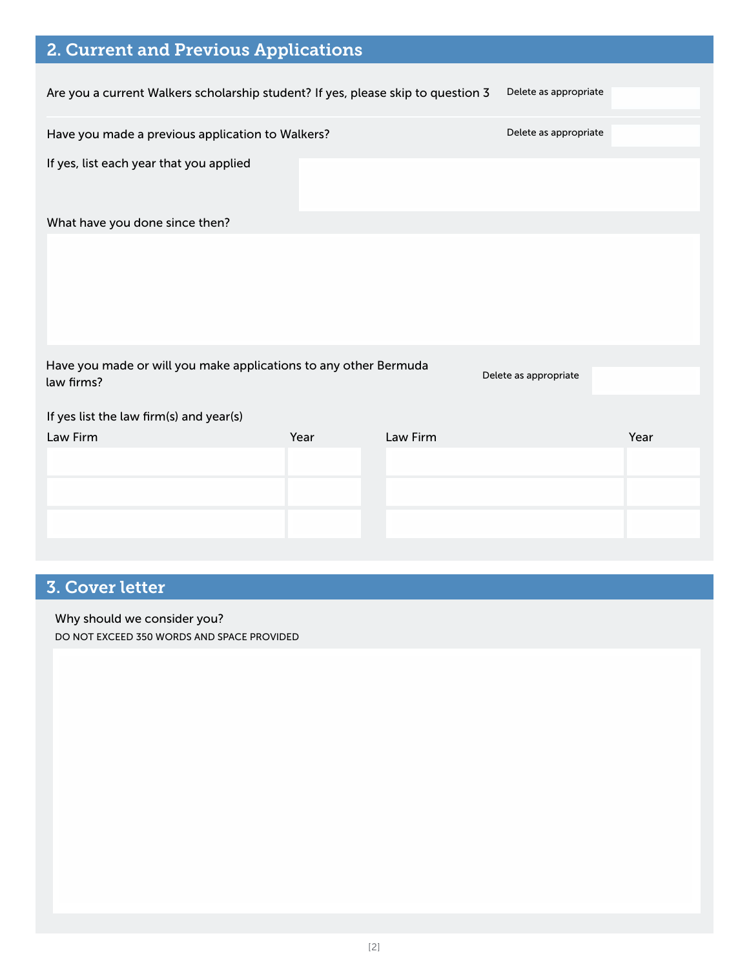| 2. Current and Previous Applications                                             |      |          |                       |      |
|----------------------------------------------------------------------------------|------|----------|-----------------------|------|
| Are you a current Walkers scholarship student? If yes, please skip to question 3 |      |          | Delete as appropriate |      |
| Have you made a previous application to Walkers?                                 |      |          | Delete as appropriate |      |
| If yes, list each year that you applied                                          |      |          |                       |      |
| What have you done since then?                                                   |      |          |                       |      |
|                                                                                  |      |          |                       |      |
| Have you made or will you make applications to any other Bermuda<br>law firms?   |      |          | Delete as appropriate |      |
| If yes list the law firm(s) and year(s)                                          |      |          |                       |      |
| Law Firm                                                                         | Year | Law Firm |                       | Year |
|                                                                                  |      |          |                       |      |
|                                                                                  |      |          |                       |      |
|                                                                                  |      |          |                       |      |
|                                                                                  |      |          |                       |      |

## 3. Cover letter

Why should we consider you?

DO NOT EXCEED 350 WORDS AND SPACE PROVIDED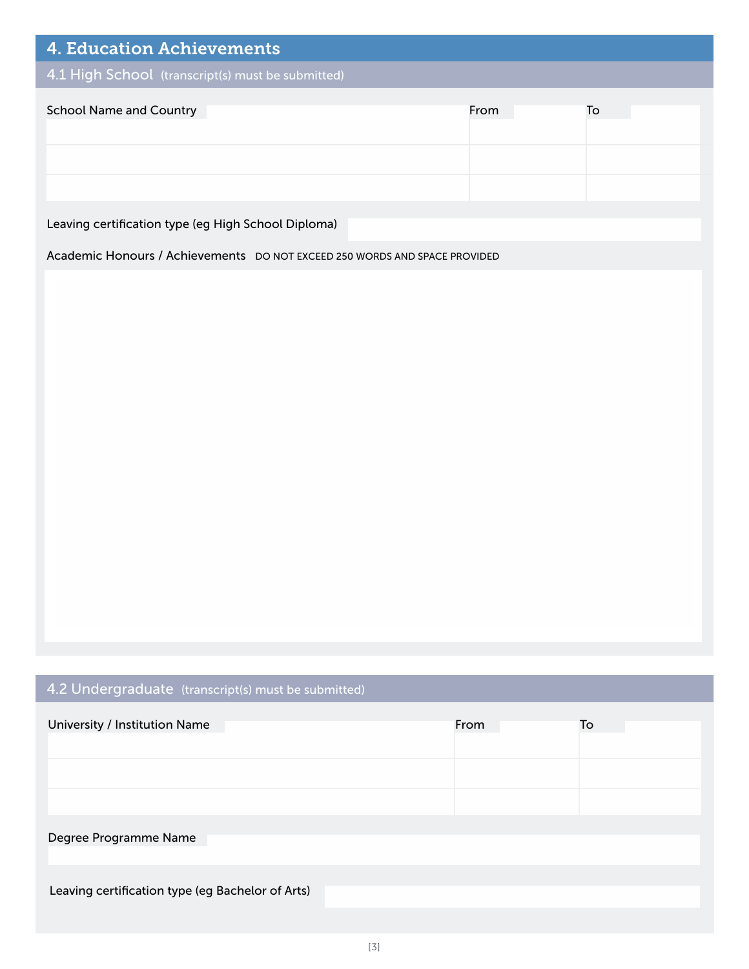| <b>4. Education Achievements</b>                  |      |    |  |  |
|---------------------------------------------------|------|----|--|--|
| 4.1 High School (transcript(s) must be submitted) |      |    |  |  |
| <b>School Name and Country</b>                    | From | To |  |  |
|                                                   |      |    |  |  |
|                                                   |      |    |  |  |

Leaving certification type (eg High School Diploma)

Academic Honours / Achievements DO NOT EXCEED 250 WORDS AND SPACE PROVIDED

## 4.2 Undergraduate (transcript(s) must be submitted)

| University / Institution Name                    | From | To |
|--------------------------------------------------|------|----|
|                                                  |      |    |
|                                                  |      |    |
| Degree Programme Name                            |      |    |
| Leaving certification type (eg Bachelor of Arts) |      |    |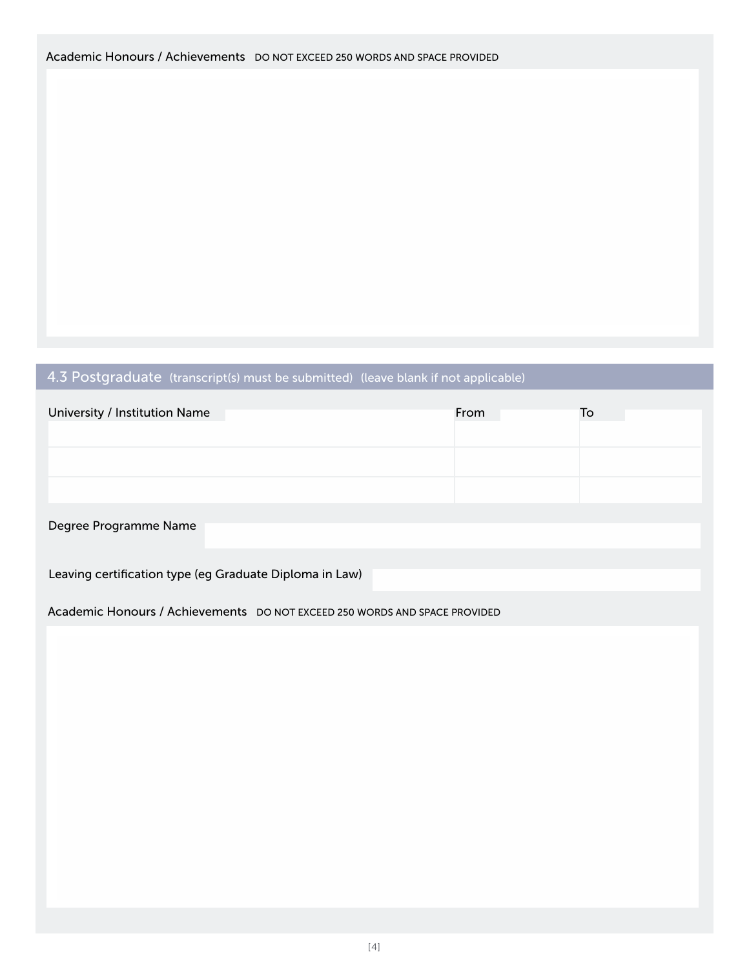## 4.3 Postgraduate (transcript(s) must be submitted) (leave blank if not applicable)

| University / Institution Name                           | From | To |
|---------------------------------------------------------|------|----|
|                                                         |      |    |
|                                                         |      |    |
| Degree Programme Name                                   |      |    |
| Leaving certification type (eg Graduate Diploma in Law) |      |    |

Academic Honours / Achievements DO NOT EXCEED 250 WORDS AND SPACE PROVIDED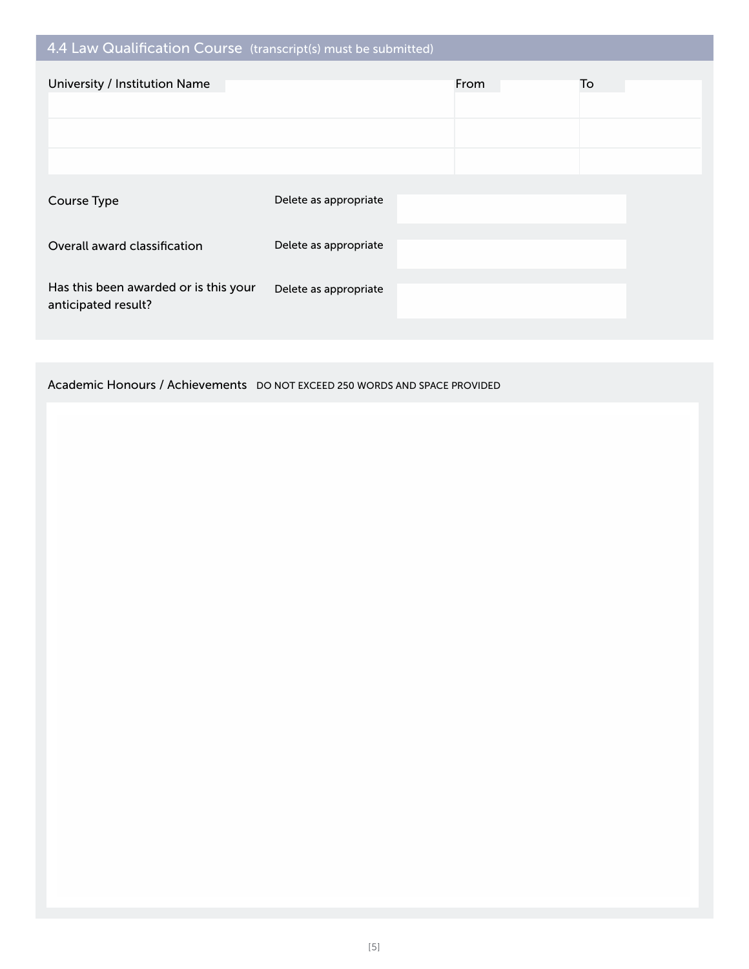| 4.4 Law Qualification Course (transcript(s) must be submitted) |                       |      |    |
|----------------------------------------------------------------|-----------------------|------|----|
| University / Institution Name                                  |                       | From | To |
|                                                                |                       |      |    |
|                                                                |                       |      |    |
|                                                                |                       |      |    |
| Course Type                                                    | Delete as appropriate |      |    |
|                                                                |                       |      |    |
| Overall award classification                                   | Delete as appropriate |      |    |
|                                                                |                       |      |    |
| Has this been awarded or is this your<br>anticipated result?   | Delete as appropriate |      |    |
|                                                                |                       |      |    |

Academic Honours / Achievements DO NOT EXCEED 250 WORDS AND SPACE PROVIDED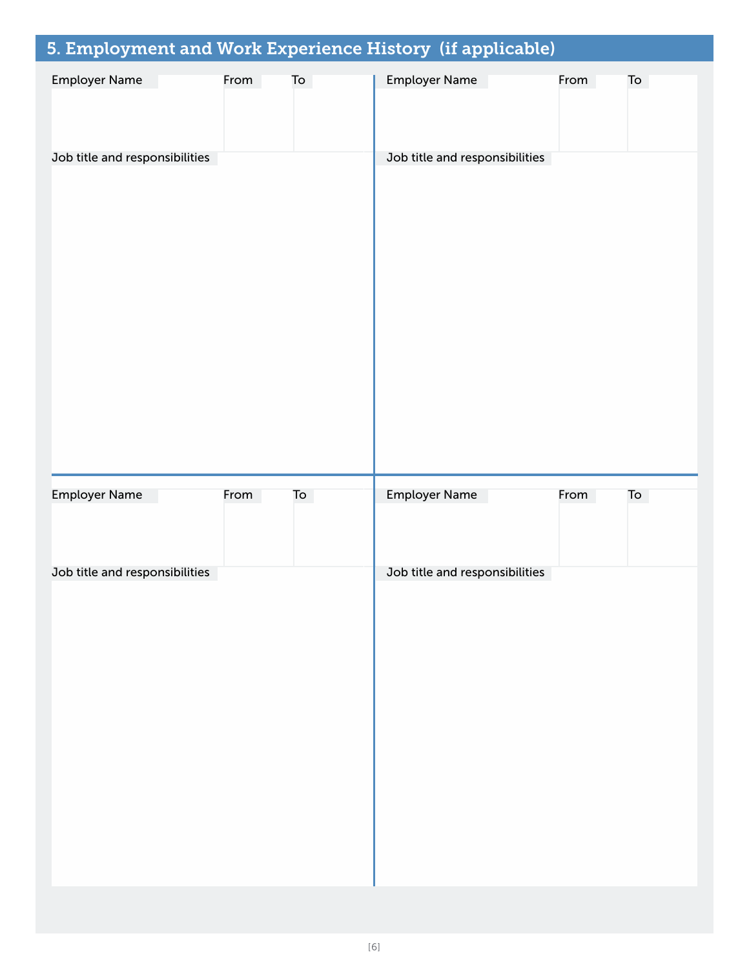| 5. Employment and Work Experience History (if applicable) |      |    |                      |                                |      |    |
|-----------------------------------------------------------|------|----|----------------------|--------------------------------|------|----|
| <b>Employer Name</b>                                      | From | To | <b>Employer Name</b> |                                | From | To |
| Job title and responsibilities                            |      |    |                      | Job title and responsibilities |      |    |
| <b>Employer Name</b>                                      | From | To | <b>Employer Name</b> |                                | From | To |
| Job title and responsibilities                            |      |    |                      | Job title and responsibilities |      |    |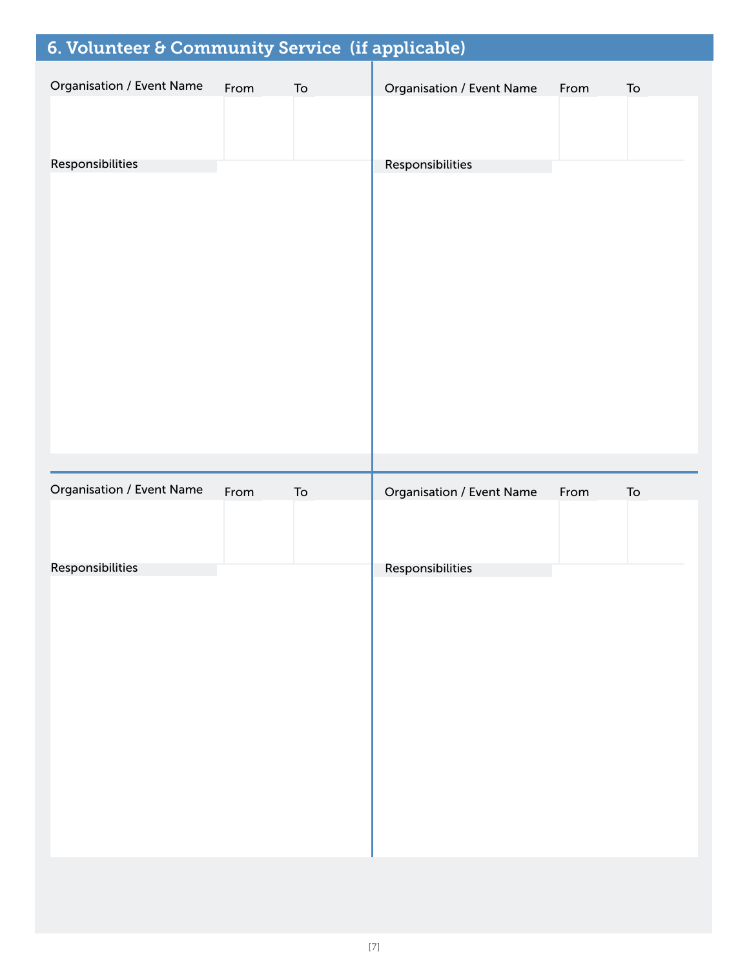| 6. Volunteer & Community Service (if applicable) |      |            |                                  |      |            |
|--------------------------------------------------|------|------------|----------------------------------|------|------------|
| <b>Organisation / Event Name</b>                 | From | ${\sf To}$ | <b>Organisation / Event Name</b> | From | To         |
| Responsibilities                                 |      |            | Responsibilities                 |      |            |
| Organisation / Event Name                        | From | To         | <b>Organisation / Event Name</b> | From | ${\sf To}$ |
| Responsibilities                                 |      |            | Responsibilities                 |      |            |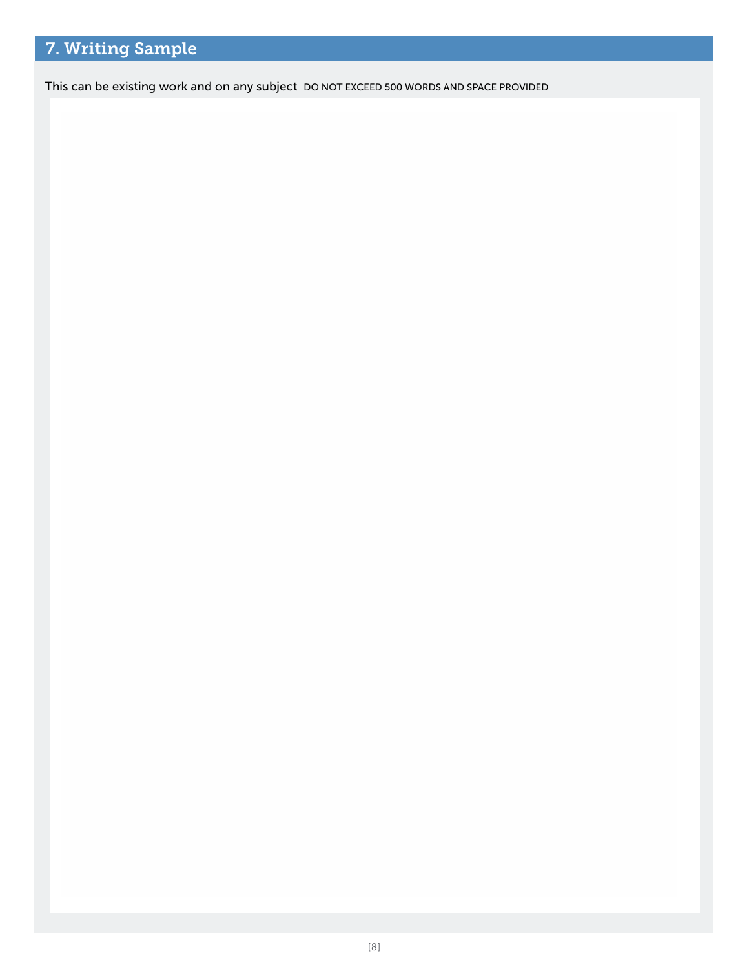## 7. Writing Sample

This can be existing work and on any subject DO NOT EXCEED 500 WORDS AND SPACE PROVIDED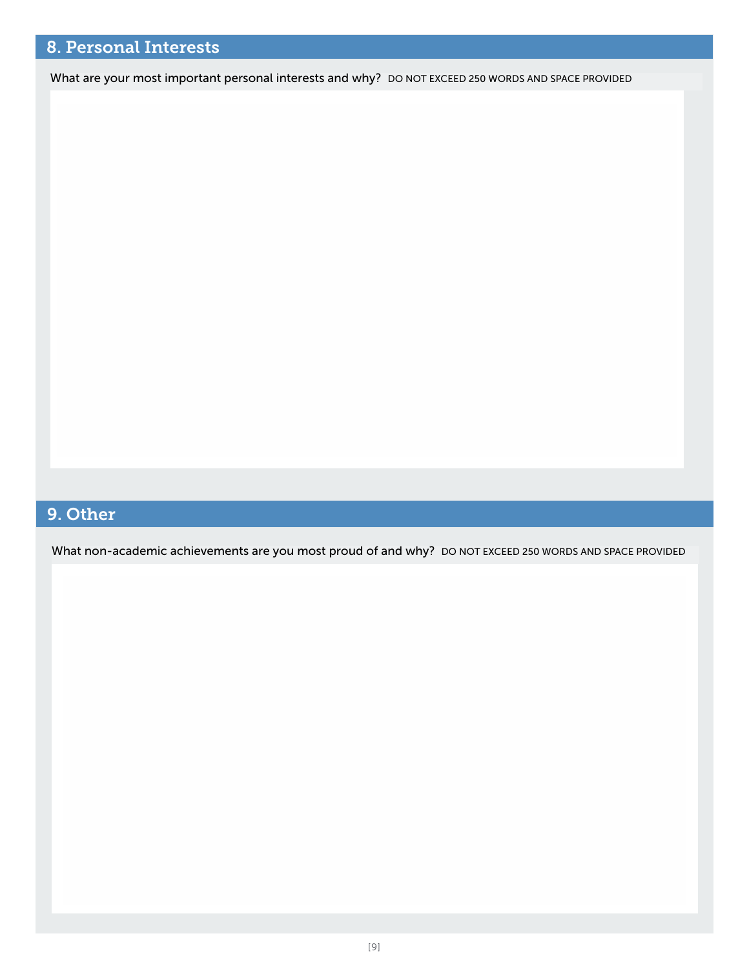#### ` 8. Personal Interests

What are your most important personal interests and why? DO NOT EXCEED 250 WORDS AND SPACE PROVIDED

## 9. Other

What non-academic achievements are you most proud of and why? DO NOT EXCEED 250 WORDS AND SPACE PROVIDED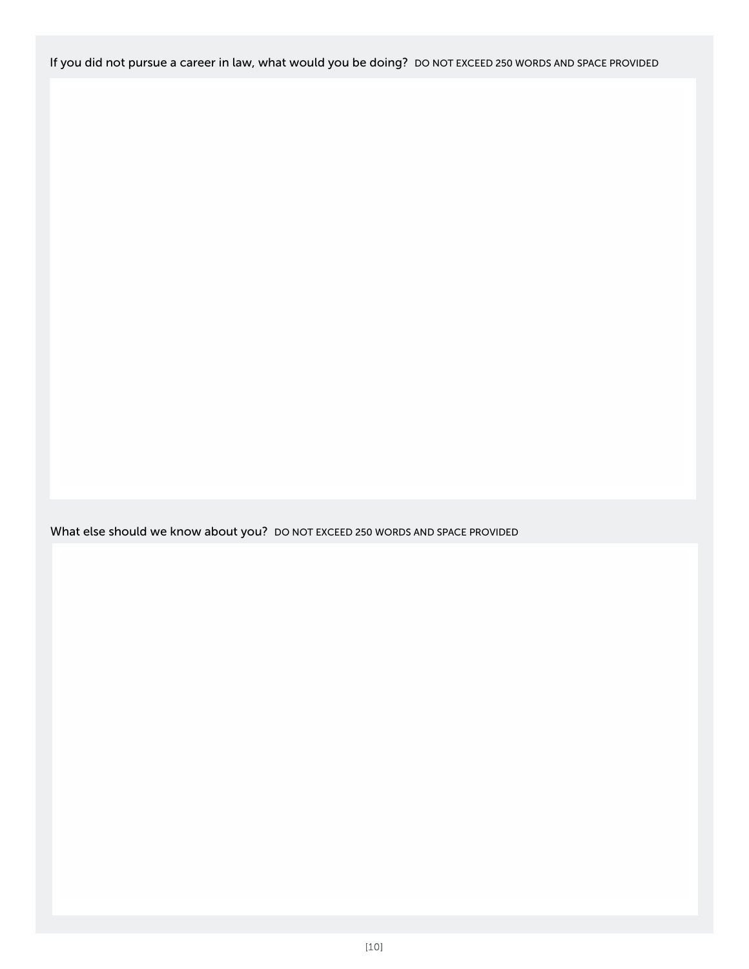If you did not pursue a career in law, what would you be doing? DO NOT EXCEED 250 WORDS AND SPACE PROVIDED

What else should we know about you? DO NOT EXCEED 250 WORDS AND SPACE PROVIDED